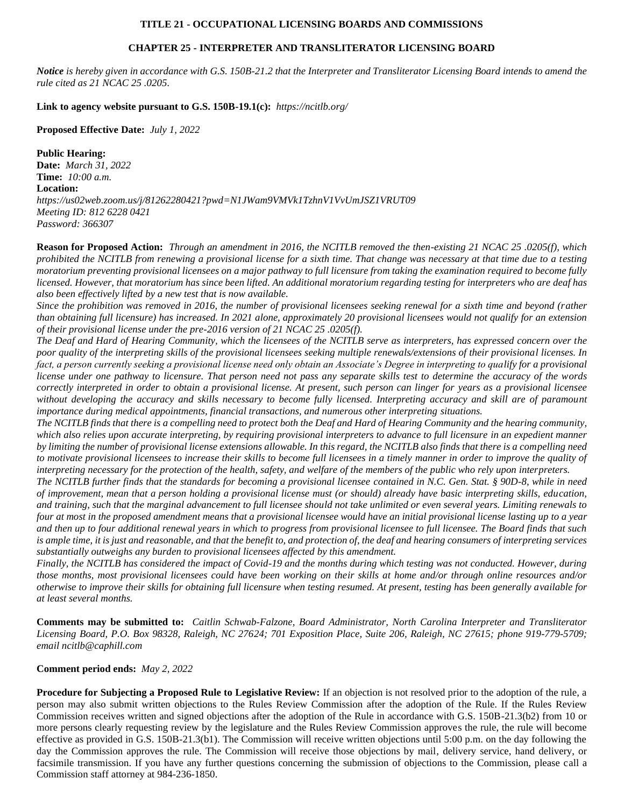## **TITLE 21 - OCCUPATIONAL LICENSING BOARDS AND COMMISSIONS**

## **CHAPTER 25 - INTERPRETER AND TRANSLITERATOR LICENSING BOARD**

*Notice is hereby given in accordance with G.S. 150B-21.2 that the Interpreter and Transliterator Licensing Board intends to amend the rule cited as 21 NCAC 25 .0205.*

**Link to agency website pursuant to G.S. 150B-19.1(c):** *https://ncitlb.org/*

**Proposed Effective Date:** *July 1, 2022*

**Public Hearing:**

**Date:** *March 31, 2022* **Time:** *10:00 a.m.* **Location:** *https://us02web.zoom.us/j/81262280421?pwd=N1JWam9VMVk1TzhnV1VvUmJSZ1VRUT09 Meeting ID: 812 6228 0421 Password: 366307*

**Reason for Proposed Action:** *Through an amendment in 2016, the NCITLB removed the then-existing 21 NCAC 25 .0205(f), which prohibited the NCITLB from renewing a provisional license for a sixth time. That change was necessary at that time due to a testing moratorium preventing provisional licensees on a major pathway to full licensure from taking the examination required to become fully licensed. However, that moratorium has since been lifted. An additional moratorium regarding testing for interpreters who are deaf has also been effectively lifted by a new test that is now available.*

*Since the prohibition was removed in 2016, the number of provisional licensees seeking renewal for a sixth time and beyond (rather than obtaining full licensure) has increased. In 2021 alone, approximately 20 provisional licensees would not qualify for an extension of their provisional license under the pre-2016 version of 21 NCAC 25 .0205(f).*

*The Deaf and Hard of Hearing Community, which the licensees of the NCITLB serve as interpreters, has expressed concern over the poor quality of the interpreting skills of the provisional licensees seeking multiple renewals/extensions of their provisional licenses. In*  fact, a person currently seeking a provisional license need only obtain an Associate's Degree in interpreting to qualify for a provisional *license under one pathway to licensure. That person need not pass any separate skills test to determine the accuracy of the words correctly interpreted in order to obtain a provisional license. At present, such person can linger for years as a provisional licensee without developing the accuracy and skills necessary to become fully licensed. Interpreting accuracy and skill are of paramount importance during medical appointments, financial transactions, and numerous other interpreting situations.*

*The NCITLB finds that there is a compelling need to protect both the Deaf and Hard of Hearing Community and the hearing community, which also relies upon accurate interpreting, by requiring provisional interpreters to advance to full licensure in an expedient manner by limiting the number of provisional license extensions allowable. In this regard, the NCITLB also finds that there is a compelling need to motivate provisional licensees to increase their skills to become full licensees in a timely manner in order to improve the quality of interpreting necessary for the protection of the health, safety, and welfare of the members of the public who rely upon interpreters.*

*The NCITLB further finds that the standards for becoming a provisional licensee contained in N.C. Gen. Stat. § 90D-8, while in need of improvement, mean that a person holding a provisional license must (or should) already have basic interpreting skills, education, and training, such that the marginal advancement to full licensee should not take unlimited or even several years. Limiting renewals to four at most in the proposed amendment means that a provisional licensee would have an initial provisional license lasting up to a year and then up to four additional renewal years in which to progress from provisional licensee to full licensee. The Board finds that such is ample time, it is just and reasonable, and that the benefit to, and protection of, the deaf and hearing consumers of interpreting services substantially outweighs any burden to provisional licensees affected by this amendment.*

*Finally, the NCITLB has considered the impact of Covid-19 and the months during which testing was not conducted. However, during those months, most provisional licensees could have been working on their skills at home and/or through online resources and/or otherwise to improve their skills for obtaining full licensure when testing resumed. At present, testing has been generally available for at least several months.*

**Comments may be submitted to:** *Caitlin Schwab-Falzone, Board Administrator, North Carolina Interpreter and Transliterator Licensing Board, P.O. Box 98328, Raleigh, NC 27624; 701 Exposition Place, Suite 206, Raleigh, NC 27615; phone 919-779-5709; email ncitlb@caphill.com*

**Comment period ends:** *May 2, 2022*

**Procedure for Subjecting a Proposed Rule to Legislative Review:** If an objection is not resolved prior to the adoption of the rule, a person may also submit written objections to the Rules Review Commission after the adoption of the Rule. If the Rules Review Commission receives written and signed objections after the adoption of the Rule in accordance with G.S. 150B-21.3(b2) from 10 or more persons clearly requesting review by the legislature and the Rules Review Commission approves the rule, the rule will become effective as provided in G.S. 150B-21.3(b1). The Commission will receive written objections until 5:00 p.m. on the day following the day the Commission approves the rule. The Commission will receive those objections by mail, delivery service, hand delivery, or facsimile transmission. If you have any further questions concerning the submission of objections to the Commission, please call a Commission staff attorney at 984-236-1850.